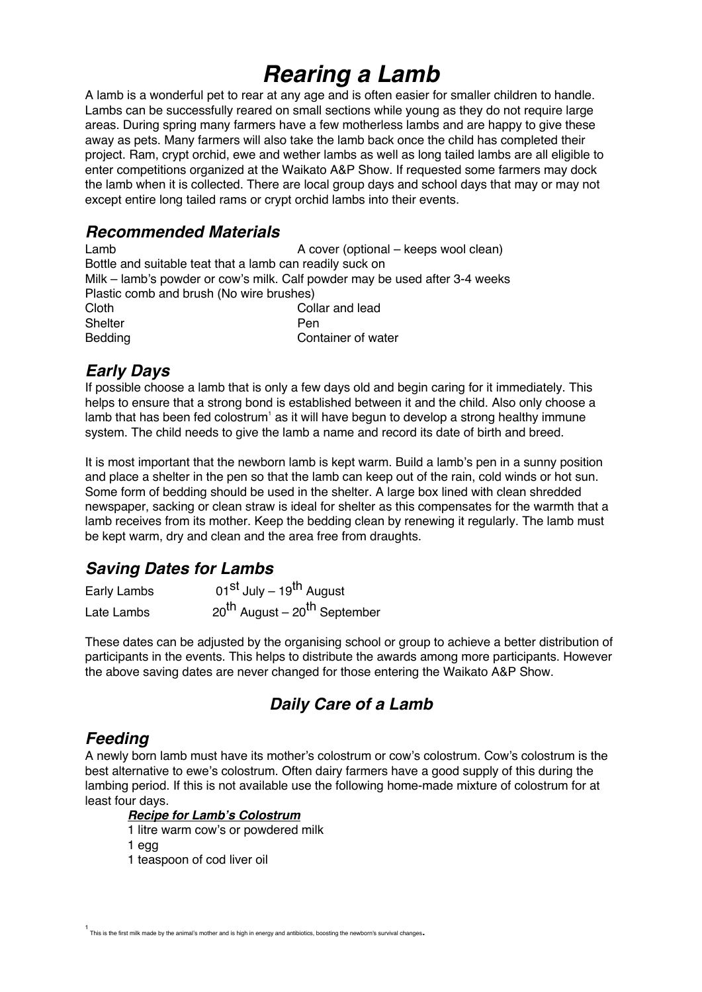# *Rearing a Lamb*

A lamb is a wonderful pet to rear at any age and is often easier for smaller children to handle. Lambs can be successfully reared on small sections while young as they do not require large areas. During spring many farmers have a few motherless lambs and are happy to give these away as pets. Many farmers will also take the lamb back once the child has completed their project. Ram, crypt orchid, ewe and wether lambs as well as long tailed lambs are all eligible to enter competitions organized at the Waikato A&P Show. If requested some farmers may dock the lamb when it is collected. There are local group days and school days that may or may not except entire long tailed rams or crypt orchid lambs into their events.

## *Recommended Materials*

| Lamb                                                                        | A cover (optional – keeps wool clean) |  |
|-----------------------------------------------------------------------------|---------------------------------------|--|
| Bottle and suitable teat that a lamb can readily suck on                    |                                       |  |
| Milk – lamb's powder or cow's milk. Calf powder may be used after 3-4 weeks |                                       |  |
| Plastic comb and brush (No wire brushes)                                    |                                       |  |
| Cloth                                                                       | Collar and lead                       |  |
| <b>Shelter</b>                                                              | Pen                                   |  |
| Bedding                                                                     | Container of water                    |  |

## *Early Days*

If possible choose a lamb that is only a few days old and begin caring for it immediately. This helps to ensure that a strong bond is established between it and the child. Also only choose a lamb that has been fed colostrum<sup>1</sup> as it will have begun to develop a strong healthy immune system. The child needs to give the lamb a name and record its date of birth and breed.

It is most important that the newborn lamb is kept warm. Build a lamb's pen in a sunny position and place a shelter in the pen so that the lamb can keep out of the rain, cold winds or hot sun. Some form of bedding should be used in the shelter. A large box lined with clean shredded newspaper, sacking or clean straw is ideal for shelter as this compensates for the warmth that a lamb receives from its mother. Keep the bedding clean by renewing it regularly. The lamb must be kept warm, dry and clean and the area free from draughts.

# *Saving Dates for Lambs*

| Early Lambs | 01 <sup>st</sup> July – 19 <sup>th</sup> August      |
|-------------|------------------------------------------------------|
| Late Lambs  | 20 <sup>th</sup> August – 20 <sup>th</sup> September |

These dates can be adjusted by the organising school or group to achieve a better distribution of participants in the events. This helps to distribute the awards among more participants. However the above saving dates are never changed for those entering the Waikato A&P Show.

# *Daily Care of a Lamb*

## *Feeding*

A newly born lamb must have its mother's colostrum or cow's colostrum. Cow's colostrum is the best alternative to ewe's colostrum. Often dairy farmers have a good supply of this during the lambing period. If this is not available use the following home-made mixture of colostrum for at least four days.

#### *Recipe for Lamb's Colostrum*

- 1 litre warm cow's or powdered milk
- 1 egg
- 1 teaspoon of cod liver oil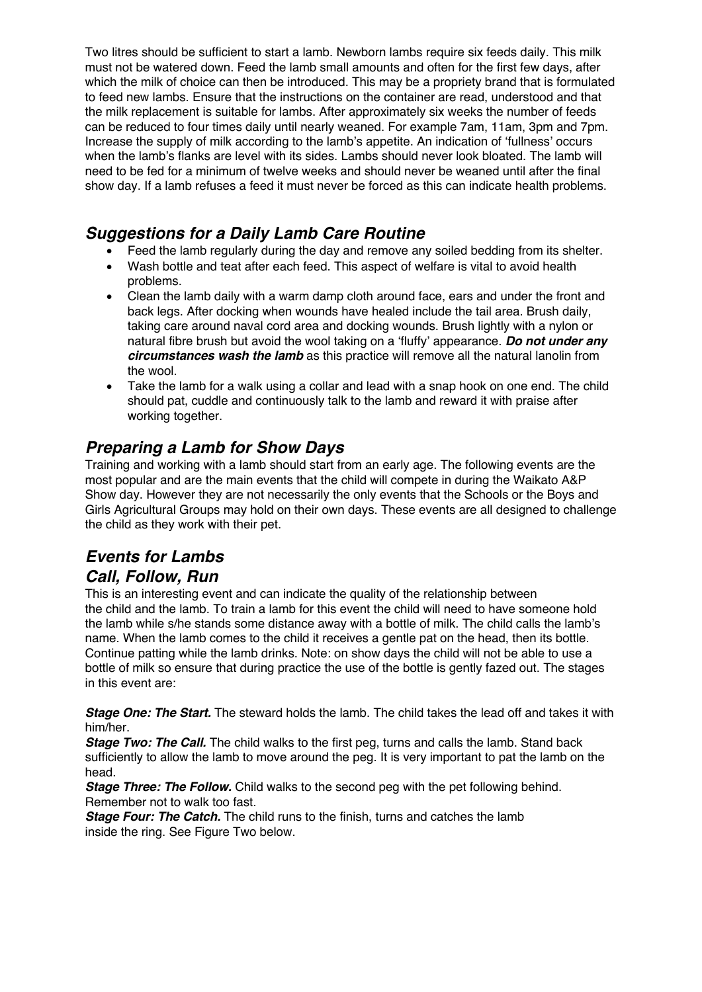Two litres should be sufficient to start a lamb. Newborn lambs require six feeds daily. This milk must not be watered down. Feed the lamb small amounts and often for the first few days, after which the milk of choice can then be introduced. This may be a propriety brand that is formulated to feed new lambs. Ensure that the instructions on the container are read, understood and that the milk replacement is suitable for lambs. After approximately six weeks the number of feeds can be reduced to four times daily until nearly weaned. For example 7am, 11am, 3pm and 7pm. Increase the supply of milk according to the lamb's appetite. An indication of 'fullness' occurs when the lamb's flanks are level with its sides. Lambs should never look bloated. The lamb will need to be fed for a minimum of twelve weeks and should never be weaned until after the final show day. If a lamb refuses a feed it must never be forced as this can indicate health problems.

## *Suggestions for a Daily Lamb Care Routine*

- Feed the lamb regularly during the day and remove any soiled bedding from its shelter.
- Wash bottle and teat after each feed. This aspect of welfare is vital to avoid health problems.
- Clean the lamb daily with a warm damp cloth around face, ears and under the front and back legs. After docking when wounds have healed include the tail area. Brush daily, taking care around naval cord area and docking wounds. Brush lightly with a nylon or natural fibre brush but avoid the wool taking on a 'fluffy' appearance. *Do not under any circumstances wash the lamb* as this practice will remove all the natural lanolin from the wool.
- Take the lamb for a walk using a collar and lead with a snap hook on one end. The child should pat, cuddle and continuously talk to the lamb and reward it with praise after working together.

# *Preparing a Lamb for Show Days*

Training and working with a lamb should start from an early age. The following events are the most popular and are the main events that the child will compete in during the Waikato A&P Show day. However they are not necessarily the only events that the Schools or the Boys and Girls Agricultural Groups may hold on their own days. These events are all designed to challenge the child as they work with their pet.

## *Events for Lambs Call, Follow, Run*

This is an interesting event and can indicate the quality of the relationship between the child and the lamb. To train a lamb for this event the child will need to have someone hold the lamb while s/he stands some distance away with a bottle of milk. The child calls the lamb's name. When the lamb comes to the child it receives a gentle pat on the head, then its bottle. Continue patting while the lamb drinks. Note: on show days the child will not be able to use a bottle of milk so ensure that during practice the use of the bottle is gently fazed out. The stages in this event are:

*Stage One: The Start.* The steward holds the lamb. The child takes the lead off and takes it with him/her.

*Stage Two: The Call.* The child walks to the first peg, turns and calls the lamb. Stand back sufficiently to allow the lamb to move around the peg. It is very important to pat the lamb on the head.

**Stage Three: The Follow.** Child walks to the second peg with the pet following behind. Remember not to walk too fast.

**Stage Four: The Catch.** The child runs to the finish, turns and catches the lamb inside the ring. See Figure Two below.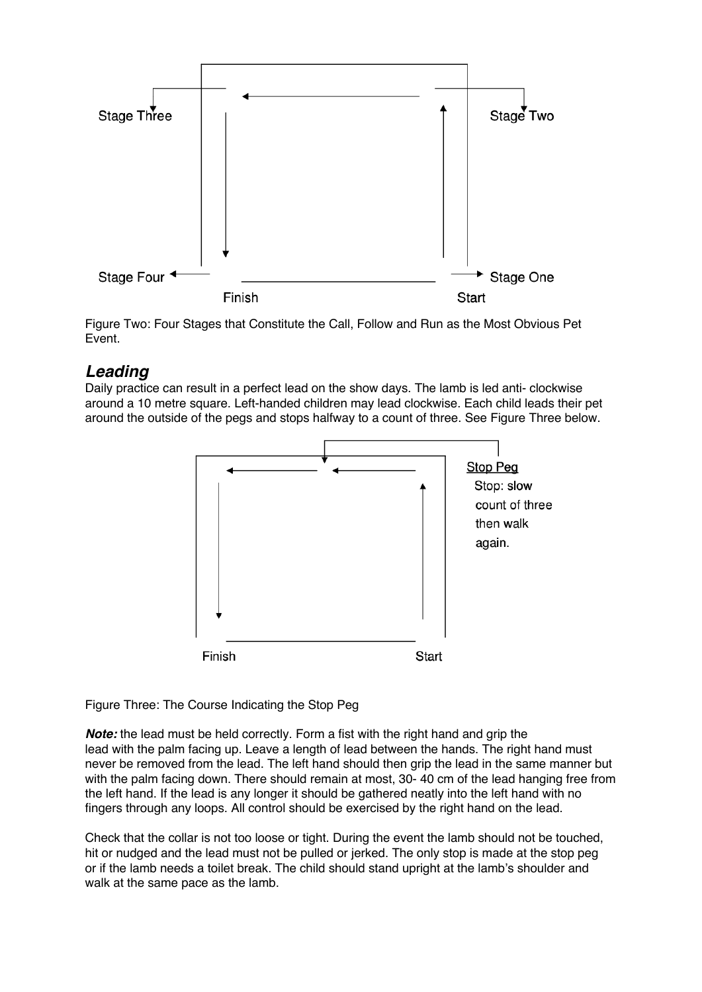

Figure Two: Four Stages that Constitute the Call, Follow and Run as the Most Obvious Pet Event.

#### *Leading*

Daily practice can result in a perfect lead on the show days. The lamb is led anti- clockwise around a 10 metre square. Left-handed children may lead clockwise. Each child leads their pet around the outside of the pegs and stops halfway to a count of three. See Figure Three below.



Figure Three: The Course Indicating the Stop Peg

*Note:* the lead must be held correctly. Form a fist with the right hand and grip the lead with the palm facing up. Leave a length of lead between the hands. The right hand must never be removed from the lead. The left hand should then grip the lead in the same manner but with the palm facing down. There should remain at most, 30- 40 cm of the lead hanging free from the left hand. If the lead is any longer it should be gathered neatly into the left hand with no fingers through any loops. All control should be exercised by the right hand on the lead.

Check that the collar is not too loose or tight. During the event the lamb should not be touched, hit or nudged and the lead must not be pulled or jerked. The only stop is made at the stop peg or if the lamb needs a toilet break. The child should stand upright at the lamb's shoulder and walk at the same pace as the lamb.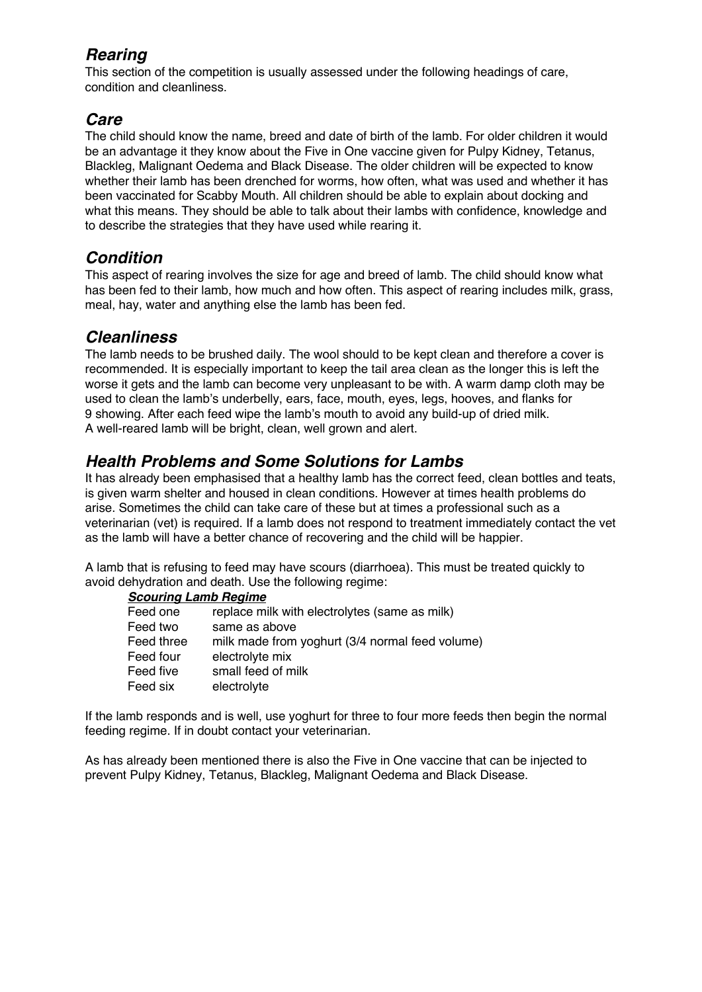## *Rearing*

This section of the competition is usually assessed under the following headings of care, condition and cleanliness.

## *Care*

The child should know the name, breed and date of birth of the lamb. For older children it would be an advantage it they know about the Five in One vaccine given for Pulpy Kidney, Tetanus, Blackleg, Malignant Oedema and Black Disease. The older children will be expected to know whether their lamb has been drenched for worms, how often, what was used and whether it has been vaccinated for Scabby Mouth. All children should be able to explain about docking and what this means. They should be able to talk about their lambs with confidence, knowledge and to describe the strategies that they have used while rearing it.

## *Condition*

This aspect of rearing involves the size for age and breed of lamb. The child should know what has been fed to their lamb, how much and how often. This aspect of rearing includes milk, grass, meal, hay, water and anything else the lamb has been fed.

## *Cleanliness*

The lamb needs to be brushed daily. The wool should to be kept clean and therefore a cover is recommended. It is especially important to keep the tail area clean as the longer this is left the worse it gets and the lamb can become very unpleasant to be with. A warm damp cloth may be used to clean the lamb's underbelly, ears, face, mouth, eyes, legs, hooves, and flanks for 9 showing. After each feed wipe the lamb's mouth to avoid any build-up of dried milk. A well-reared lamb will be bright, clean, well grown and alert.

## *Health Problems and Some Solutions for Lambs*

It has already been emphasised that a healthy lamb has the correct feed, clean bottles and teats, is given warm shelter and housed in clean conditions. However at times health problems do arise. Sometimes the child can take care of these but at times a professional such as a veterinarian (vet) is required. If a lamb does not respond to treatment immediately contact the vet as the lamb will have a better chance of recovering and the child will be happier.

A lamb that is refusing to feed may have scours (diarrhoea). This must be treated quickly to avoid dehydration and death. Use the following regime:

#### *Scouring Lamb Regime*

| replace milk with electrolytes (same as milk)   |
|-------------------------------------------------|
| same as above                                   |
| milk made from yoghurt (3/4 normal feed volume) |
| electrolyte mix                                 |
| small feed of milk                              |
| electrolyte                                     |
|                                                 |

If the lamb responds and is well, use yoghurt for three to four more feeds then begin the normal feeding regime. If in doubt contact your veterinarian.

As has already been mentioned there is also the Five in One vaccine that can be injected to prevent Pulpy Kidney, Tetanus, Blackleg, Malignant Oedema and Black Disease.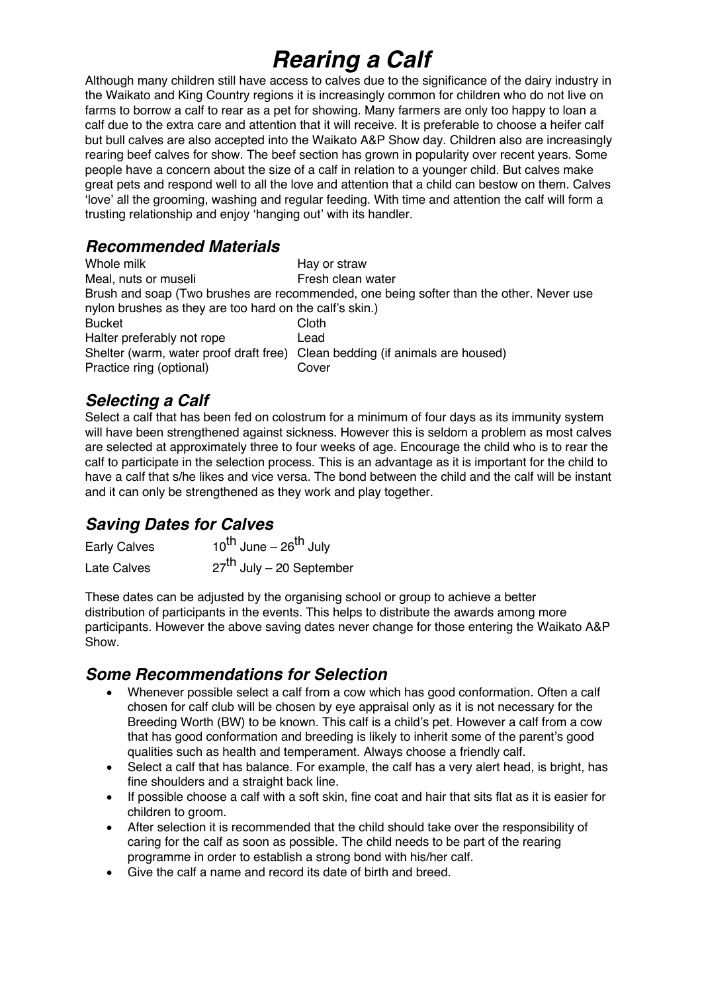# *Rearing a Calf*

Although many children still have access to calves due to the significance of the dairy industry in the Waikato and King Country regions it is increasingly common for children who do not live on farms to borrow a calf to rear as a pet for showing. Many farmers are only too happy to loan a calf due to the extra care and attention that it will receive. It is preferable to choose a heifer calf but bull calves are also accepted into the Waikato A&P Show day. Children also are increasingly rearing beef calves for show. The beef section has grown in popularity over recent years. Some people have a concern about the size of a calf in relation to a younger child. But calves make great pets and respond well to all the love and attention that a child can bestow on them. Calves 'love' all the grooming, washing and regular feeding. With time and attention the calf will form a trusting relationship and enjoy 'hanging out' with its handler.

## *Recommended Materials*

| Whole milk                                                                              | Hay or straw                                                                 |
|-----------------------------------------------------------------------------------------|------------------------------------------------------------------------------|
| Meal, nuts or museli                                                                    | Fresh clean water                                                            |
| Brush and soap (Two brushes are recommended, one being softer than the other. Never use |                                                                              |
| nylon brushes as they are too hard on the calf's skin.)                                 |                                                                              |
| <b>Bucket</b>                                                                           | Cloth                                                                        |
| Halter preferably not rope                                                              | Lead                                                                         |
|                                                                                         | Shelter (warm, water proof draft free) Clean bedding (if animals are housed) |
| Practice ring (optional)                                                                | Cover                                                                        |

# *Selecting a Calf*

Select a calf that has been fed on colostrum for a minimum of four days as its immunity system will have been strengthened against sickness. However this is seldom a problem as most calves are selected at approximately three to four weeks of age. Encourage the child who is to rear the calf to participate in the selection process. This is an advantage as it is important for the child to have a calf that s/he likes and vice versa. The bond between the child and the calf will be instant and it can only be strengthened as they work and play together.

# *Saving Dates for Calves*

| <b>Early Calves</b> | $10^{th}$ June – $26^{th}$ July      |
|---------------------|--------------------------------------|
| Late Calves         | 27 <sup>th</sup> July – 20 September |

These dates can be adjusted by the organising school or group to achieve a better distribution of participants in the events. This helps to distribute the awards among more participants. However the above saving dates never change for those entering the Waikato A&P Show.

## *Some Recommendations for Selection*

- Whenever possible select a calf from a cow which has good conformation. Often a calf chosen for calf club will be chosen by eye appraisal only as it is not necessary for the Breeding Worth (BW) to be known. This calf is a child's pet. However a calf from a cow that has good conformation and breeding is likely to inherit some of the parent's good qualities such as health and temperament. Always choose a friendly calf.
- Select a calf that has balance. For example, the calf has a very alert head, is bright, has fine shoulders and a straight back line.
- If possible choose a calf with a soft skin, fine coat and hair that sits flat as it is easier for children to groom.
- After selection it is recommended that the child should take over the responsibility of caring for the calf as soon as possible. The child needs to be part of the rearing programme in order to establish a strong bond with his/her calf.
- Give the calf a name and record its date of birth and breed.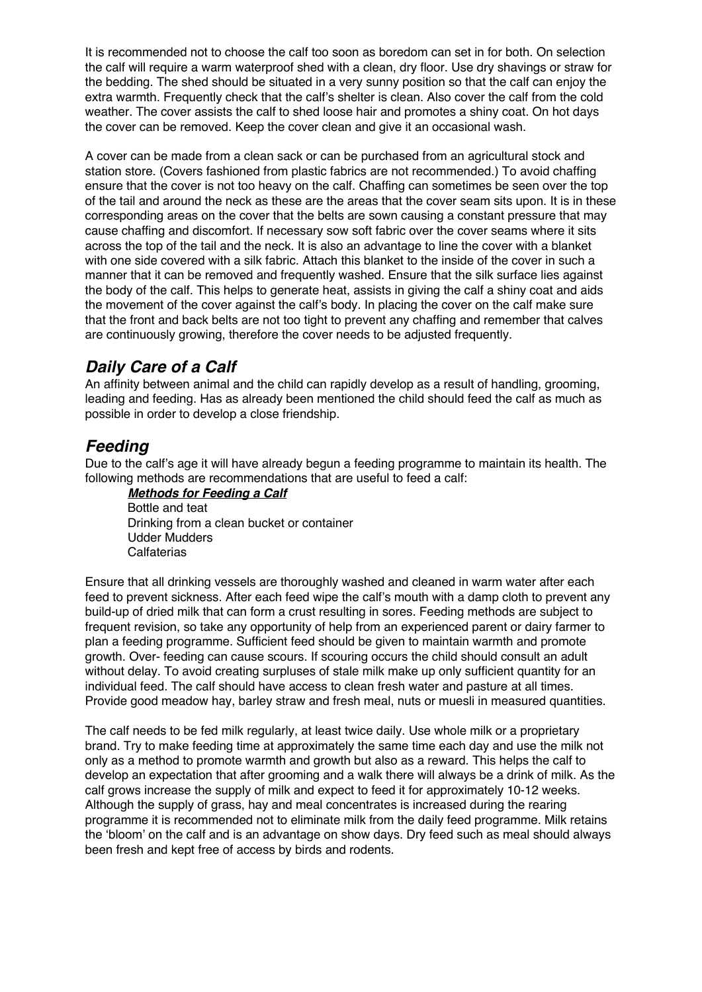It is recommended not to choose the calf too soon as boredom can set in for both. On selection the calf will require a warm waterproof shed with a clean, dry floor. Use dry shavings or straw for the bedding. The shed should be situated in a very sunny position so that the calf can enjoy the extra warmth. Frequently check that the calf's shelter is clean. Also cover the calf from the cold weather. The cover assists the calf to shed loose hair and promotes a shiny coat. On hot days the cover can be removed. Keep the cover clean and give it an occasional wash.

A cover can be made from a clean sack or can be purchased from an agricultural stock and station store. (Covers fashioned from plastic fabrics are not recommended.) To avoid chaffing ensure that the cover is not too heavy on the calf. Chaffing can sometimes be seen over the top of the tail and around the neck as these are the areas that the cover seam sits upon. It is in these corresponding areas on the cover that the belts are sown causing a constant pressure that may cause chaffing and discomfort. If necessary sow soft fabric over the cover seams where it sits across the top of the tail and the neck. It is also an advantage to line the cover with a blanket with one side covered with a silk fabric. Attach this blanket to the inside of the cover in such a manner that it can be removed and frequently washed. Ensure that the silk surface lies against the body of the calf. This helps to generate heat, assists in giving the calf a shiny coat and aids the movement of the cover against the calf's body. In placing the cover on the calf make sure that the front and back belts are not too tight to prevent any chaffing and remember that calves are continuously growing, therefore the cover needs to be adjusted frequently.

# *Daily Care of a Calf*

An affinity between animal and the child can rapidly develop as a result of handling, grooming, leading and feeding. Has as already been mentioned the child should feed the calf as much as possible in order to develop a close friendship.

## *Feeding*

Due to the calf's age it will have already begun a feeding programme to maintain its health. The following methods are recommendations that are useful to feed a calf:

*Methods for Feeding a Calf*  Bottle and teat Drinking from a clean bucket or container Udder Mudders **Calfaterias** 

Ensure that all drinking vessels are thoroughly washed and cleaned in warm water after each feed to prevent sickness. After each feed wipe the calf's mouth with a damp cloth to prevent any build-up of dried milk that can form a crust resulting in sores. Feeding methods are subject to frequent revision, so take any opportunity of help from an experienced parent or dairy farmer to plan a feeding programme. Sufficient feed should be given to maintain warmth and promote growth. Over- feeding can cause scours. If scouring occurs the child should consult an adult without delay. To avoid creating surpluses of stale milk make up only sufficient quantity for an individual feed. The calf should have access to clean fresh water and pasture at all times. Provide good meadow hay, barley straw and fresh meal, nuts or muesli in measured quantities.

The calf needs to be fed milk regularly, at least twice daily. Use whole milk or a proprietary brand. Try to make feeding time at approximately the same time each day and use the milk not only as a method to promote warmth and growth but also as a reward. This helps the calf to develop an expectation that after grooming and a walk there will always be a drink of milk. As the calf grows increase the supply of milk and expect to feed it for approximately 10-12 weeks. Although the supply of grass, hay and meal concentrates is increased during the rearing programme it is recommended not to eliminate milk from the daily feed programme. Milk retains the 'bloom' on the calf and is an advantage on show days. Dry feed such as meal should always been fresh and kept free of access by birds and rodents.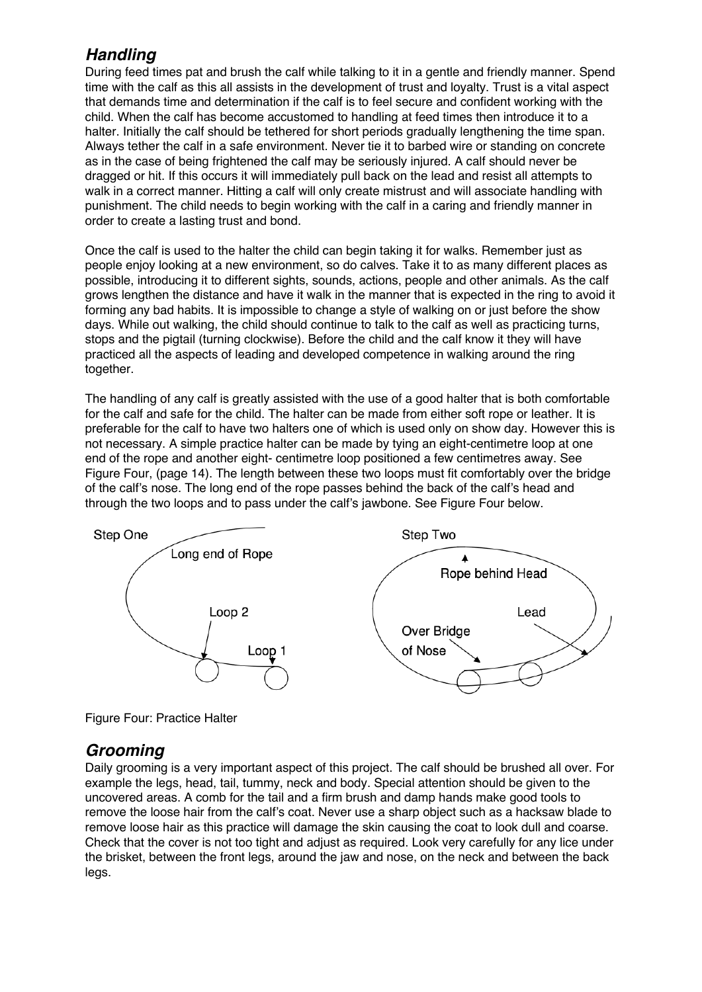## *Handling*

During feed times pat and brush the calf while talking to it in a gentle and friendly manner. Spend time with the calf as this all assists in the development of trust and loyalty. Trust is a vital aspect that demands time and determination if the calf is to feel secure and confident working with the child. When the calf has become accustomed to handling at feed times then introduce it to a halter. Initially the calf should be tethered for short periods gradually lengthening the time span. Always tether the calf in a safe environment. Never tie it to barbed wire or standing on concrete as in the case of being frightened the calf may be seriously injured. A calf should never be dragged or hit. If this occurs it will immediately pull back on the lead and resist all attempts to walk in a correct manner. Hitting a calf will only create mistrust and will associate handling with punishment. The child needs to begin working with the calf in a caring and friendly manner in order to create a lasting trust and bond.

Once the calf is used to the halter the child can begin taking it for walks. Remember just as people enjoy looking at a new environment, so do calves. Take it to as many different places as possible, introducing it to different sights, sounds, actions, people and other animals. As the calf grows lengthen the distance and have it walk in the manner that is expected in the ring to avoid it forming any bad habits. It is impossible to change a style of walking on or just before the show days. While out walking, the child should continue to talk to the calf as well as practicing turns, stops and the pigtail (turning clockwise). Before the child and the calf know it they will have practiced all the aspects of leading and developed competence in walking around the ring together.

The handling of any calf is greatly assisted with the use of a good halter that is both comfortable for the calf and safe for the child. The halter can be made from either soft rope or leather. It is preferable for the calf to have two halters one of which is used only on show day. However this is not necessary. A simple practice halter can be made by tying an eight-centimetre loop at one end of the rope and another eight- centimetre loop positioned a few centimetres away. See Figure Four, (page 14). The length between these two loops must fit comfortably over the bridge of the calf's nose. The long end of the rope passes behind the back of the calf's head and through the two loops and to pass under the calf's jawbone. See Figure Four below.



Figure Four: Practice Halter

### *Grooming*

Daily grooming is a very important aspect of this project. The calf should be brushed all over. For example the legs, head, tail, tummy, neck and body. Special attention should be given to the uncovered areas. A comb for the tail and a firm brush and damp hands make good tools to remove the loose hair from the calf's coat. Never use a sharp object such as a hacksaw blade to remove loose hair as this practice will damage the skin causing the coat to look dull and coarse. Check that the cover is not too tight and adjust as required. Look very carefully for any lice under the brisket, between the front legs, around the jaw and nose, on the neck and between the back legs.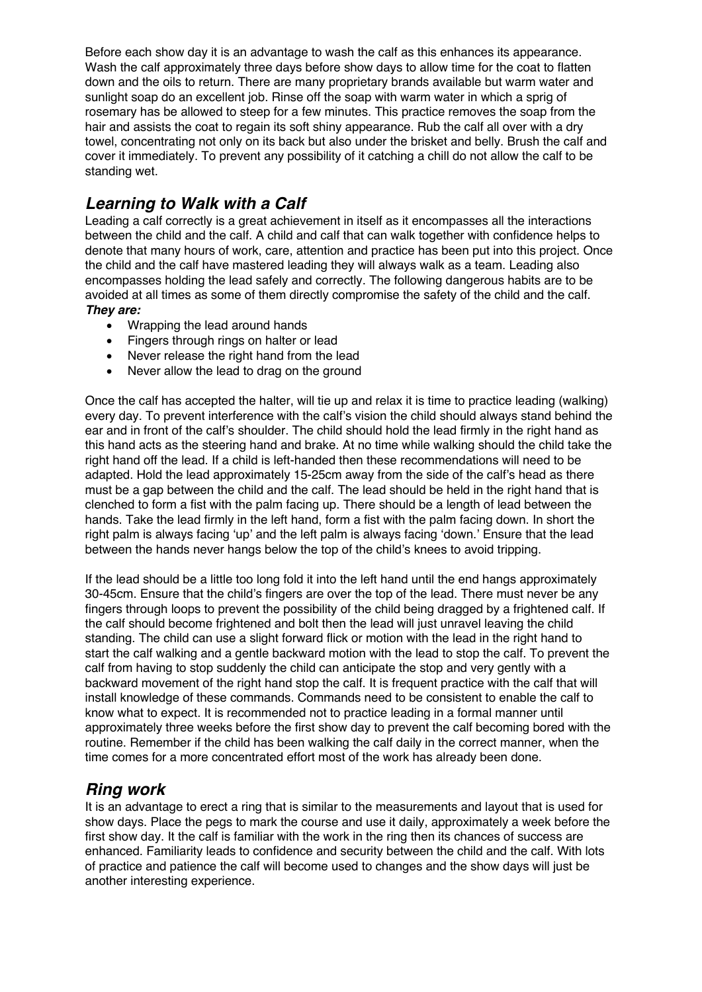Before each show day it is an advantage to wash the calf as this enhances its appearance. Wash the calf approximately three days before show days to allow time for the coat to flatten down and the oils to return. There are many proprietary brands available but warm water and sunlight soap do an excellent job. Rinse off the soap with warm water in which a sprig of rosemary has be allowed to steep for a few minutes. This practice removes the soap from the hair and assists the coat to regain its soft shiny appearance. Rub the calf all over with a dry towel, concentrating not only on its back but also under the brisket and belly. Brush the calf and cover it immediately. To prevent any possibility of it catching a chill do not allow the calf to be standing wet.

## *Learning to Walk with a Calf*

Leading a calf correctly is a great achievement in itself as it encompasses all the interactions between the child and the calf. A child and calf that can walk together with confidence helps to denote that many hours of work, care, attention and practice has been put into this project. Once the child and the calf have mastered leading they will always walk as a team. Leading also encompasses holding the lead safely and correctly. The following dangerous habits are to be avoided at all times as some of them directly compromise the safety of the child and the calf. *They are:*

- Wrapping the lead around hands
- Fingers through rings on halter or lead
- Never release the right hand from the lead
- Never allow the lead to drag on the ground

Once the calf has accepted the halter, will tie up and relax it is time to practice leading (walking) every day. To prevent interference with the calf's vision the child should always stand behind the ear and in front of the calf's shoulder. The child should hold the lead firmly in the right hand as this hand acts as the steering hand and brake. At no time while walking should the child take the right hand off the lead. If a child is left-handed then these recommendations will need to be adapted. Hold the lead approximately 15-25cm away from the side of the calf's head as there must be a gap between the child and the calf. The lead should be held in the right hand that is clenched to form a fist with the palm facing up. There should be a length of lead between the hands. Take the lead firmly in the left hand, form a fist with the palm facing down. In short the right palm is always facing 'up' and the left palm is always facing 'down.' Ensure that the lead between the hands never hangs below the top of the child's knees to avoid tripping.

If the lead should be a little too long fold it into the left hand until the end hangs approximately 30-45cm. Ensure that the child's fingers are over the top of the lead. There must never be any fingers through loops to prevent the possibility of the child being dragged by a frightened calf. If the calf should become frightened and bolt then the lead will just unravel leaving the child standing. The child can use a slight forward flick or motion with the lead in the right hand to start the calf walking and a gentle backward motion with the lead to stop the calf. To prevent the calf from having to stop suddenly the child can anticipate the stop and very gently with a backward movement of the right hand stop the calf. It is frequent practice with the calf that will install knowledge of these commands. Commands need to be consistent to enable the calf to know what to expect. It is recommended not to practice leading in a formal manner until approximately three weeks before the first show day to prevent the calf becoming bored with the routine. Remember if the child has been walking the calf daily in the correct manner, when the time comes for a more concentrated effort most of the work has already been done.

### *Ring work*

It is an advantage to erect a ring that is similar to the measurements and layout that is used for show days. Place the pegs to mark the course and use it daily, approximately a week before the first show day. It the calf is familiar with the work in the ring then its chances of success are enhanced. Familiarity leads to confidence and security between the child and the calf. With lots of practice and patience the calf will become used to changes and the show days will just be another interesting experience.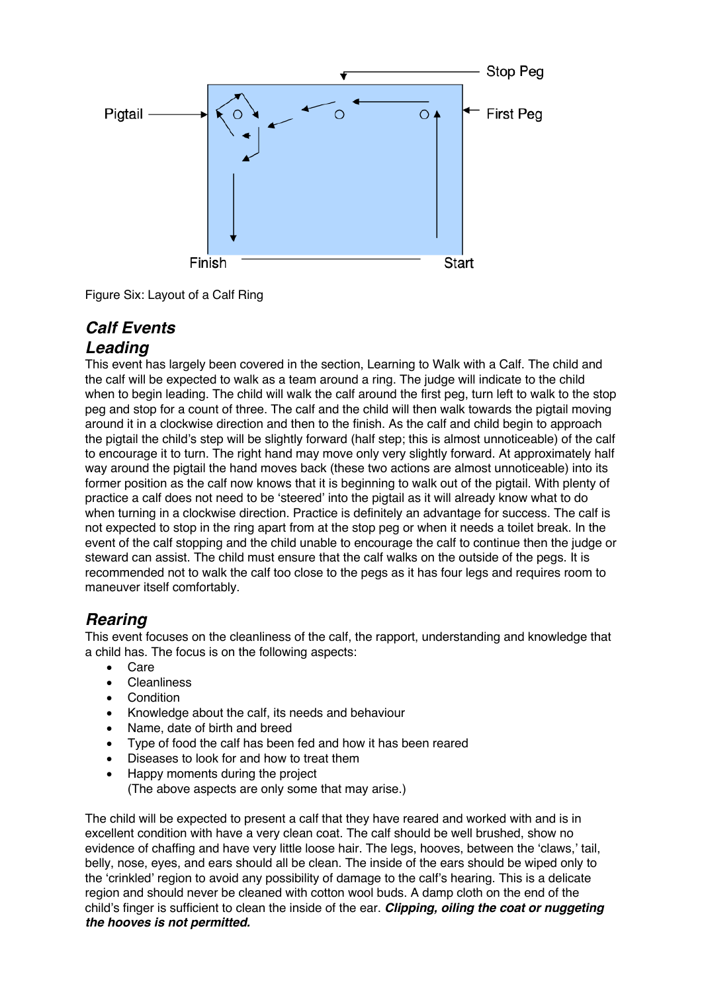

Figure Six: Layout of a Calf Ring

## *Calf Events*

#### *Leading*

This event has largely been covered in the section, Learning to Walk with a Calf. The child and the calf will be expected to walk as a team around a ring. The judge will indicate to the child when to begin leading. The child will walk the calf around the first peg, turn left to walk to the stop peg and stop for a count of three. The calf and the child will then walk towards the pigtail moving around it in a clockwise direction and then to the finish. As the calf and child begin to approach the pigtail the child's step will be slightly forward (half step; this is almost unnoticeable) of the calf to encourage it to turn. The right hand may move only very slightly forward. At approximately half way around the pigtail the hand moves back (these two actions are almost unnoticeable) into its former position as the calf now knows that it is beginning to walk out of the pigtail. With plenty of practice a calf does not need to be 'steered' into the pigtail as it will already know what to do when turning in a clockwise direction. Practice is definitely an advantage for success. The calf is not expected to stop in the ring apart from at the stop peg or when it needs a toilet break. In the event of the calf stopping and the child unable to encourage the calf to continue then the judge or steward can assist. The child must ensure that the calf walks on the outside of the pegs. It is recommended not to walk the calf too close to the pegs as it has four legs and requires room to maneuver itself comfortably.

# *Rearing*

This event focuses on the cleanliness of the calf, the rapport, understanding and knowledge that a child has. The focus is on the following aspects:

- Care
- Cleanliness
- **Condition**
- Knowledge about the calf, its needs and behaviour
- Name, date of birth and breed
- Type of food the calf has been fed and how it has been reared
- Diseases to look for and how to treat them
- Happy moments during the project

(The above aspects are only some that may arise.)

The child will be expected to present a calf that they have reared and worked with and is in excellent condition with have a very clean coat. The calf should be well brushed, show no evidence of chaffing and have very little loose hair. The legs, hooves, between the 'claws,' tail, belly, nose, eyes, and ears should all be clean. The inside of the ears should be wiped only to the 'crinkled' region to avoid any possibility of damage to the calf's hearing. This is a delicate region and should never be cleaned with cotton wool buds. A damp cloth on the end of the child's finger is sufficient to clean the inside of the ear. *Clipping, oiling the coat or nuggeting the hooves is not permitted.*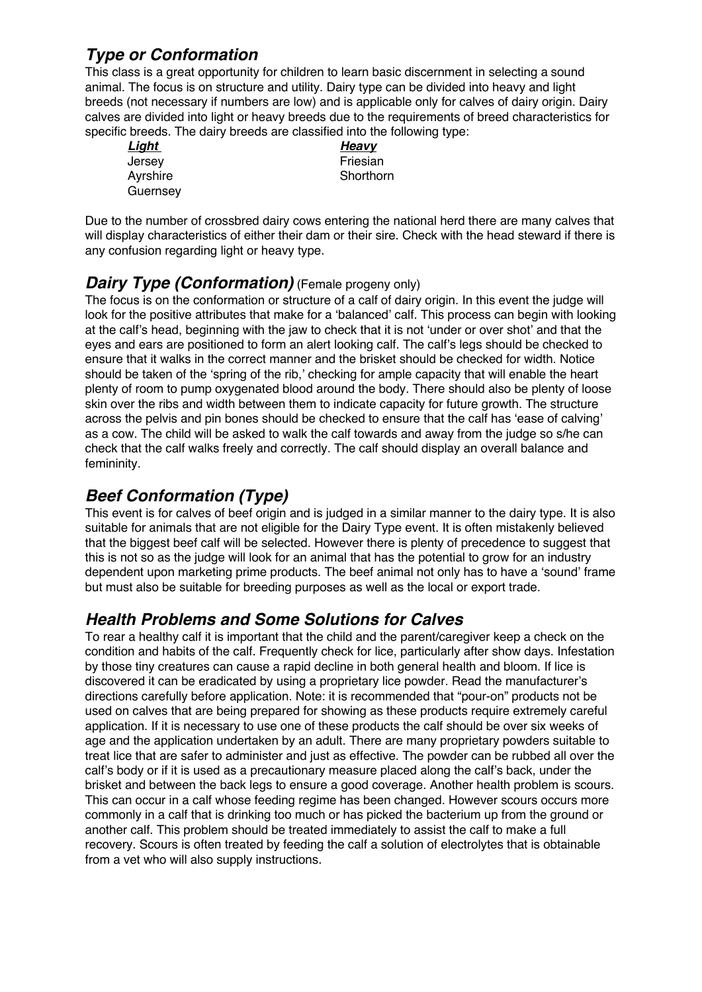# *Type or Conformation*

This class is a great opportunity for children to learn basic discernment in selecting a sound animal. The focus is on structure and utility. Dairy type can be divided into heavy and light breeds (not necessary if numbers are low) and is applicable only for calves of dairy origin. Dairy calves are divided into light or heavy breeds due to the requirements of breed characteristics for specific breeds. The dairy breeds are classified into the following type:

**Light Heavy** Jersey Friesian **Guernsey** 

Avrshire Shorthorn

Due to the number of crossbred dairy cows entering the national herd there are many calves that will display characteristics of either their dam or their sire. Check with the head steward if there is any confusion regarding light or heavy type.

### *Dairy Type (Conformation)* (Female progeny only)

The focus is on the conformation or structure of a calf of dairy origin. In this event the judge will look for the positive attributes that make for a 'balanced' calf. This process can begin with looking at the calf's head, beginning with the jaw to check that it is not 'under or over shot' and that the eyes and ears are positioned to form an alert looking calf. The calf's legs should be checked to ensure that it walks in the correct manner and the brisket should be checked for width. Notice should be taken of the 'spring of the rib,' checking for ample capacity that will enable the heart plenty of room to pump oxygenated blood around the body. There should also be plenty of loose skin over the ribs and width between them to indicate capacity for future growth. The structure across the pelvis and pin bones should be checked to ensure that the calf has 'ease of calving' as a cow. The child will be asked to walk the calf towards and away from the judge so s/he can check that the calf walks freely and correctly. The calf should display an overall balance and femininity.

## *Beef Conformation (Type)*

This event is for calves of beef origin and is judged in a similar manner to the dairy type. It is also suitable for animals that are not eligible for the Dairy Type event. It is often mistakenly believed that the biggest beef calf will be selected. However there is plenty of precedence to suggest that this is not so as the judge will look for an animal that has the potential to grow for an industry dependent upon marketing prime products. The beef animal not only has to have a 'sound' frame but must also be suitable for breeding purposes as well as the local or export trade.

## *Health Problems and Some Solutions for Calves*

To rear a healthy calf it is important that the child and the parent/caregiver keep a check on the condition and habits of the calf. Frequently check for lice, particularly after show days. Infestation by those tiny creatures can cause a rapid decline in both general health and bloom. If lice is discovered it can be eradicated by using a proprietary lice powder. Read the manufacturer's directions carefully before application. Note: it is recommended that "pour-on" products not be used on calves that are being prepared for showing as these products require extremely careful application. If it is necessary to use one of these products the calf should be over six weeks of age and the application undertaken by an adult. There are many proprietary powders suitable to treat lice that are safer to administer and just as effective. The powder can be rubbed all over the calf's body or if it is used as a precautionary measure placed along the calf's back, under the brisket and between the back legs to ensure a good coverage. Another health problem is scours. This can occur in a calf whose feeding regime has been changed. However scours occurs more commonly in a calf that is drinking too much or has picked the bacterium up from the ground or another calf. This problem should be treated immediately to assist the calf to make a full recovery. Scours is often treated by feeding the calf a solution of electrolytes that is obtainable from a vet who will also supply instructions.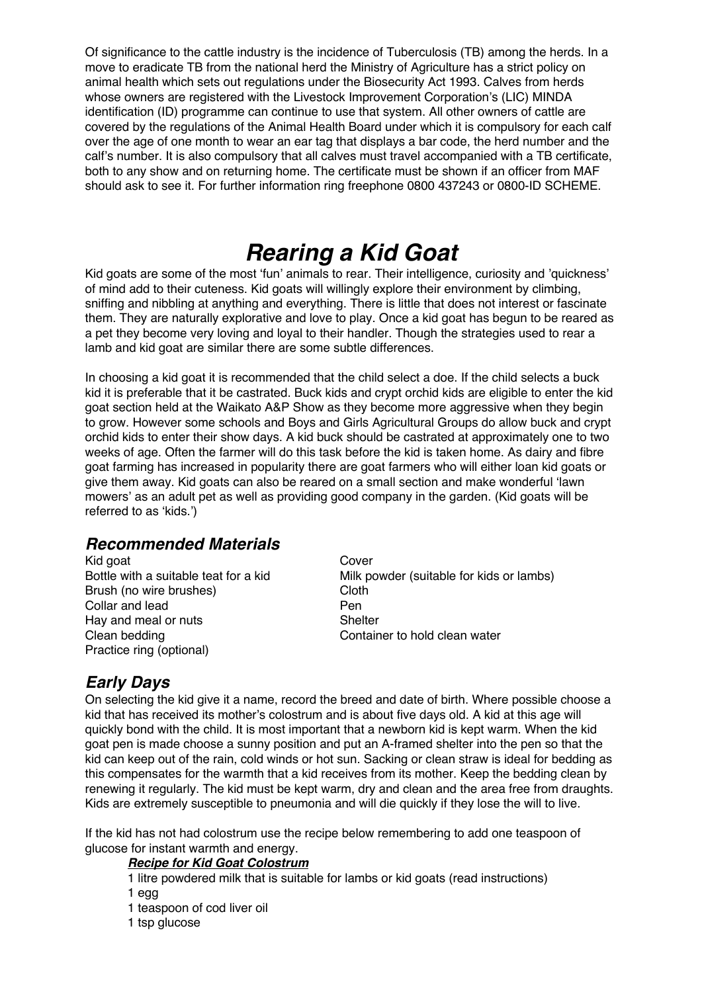Of significance to the cattle industry is the incidence of Tuberculosis (TB) among the herds. In a move to eradicate TB from the national herd the Ministry of Agriculture has a strict policy on animal health which sets out regulations under the Biosecurity Act 1993. Calves from herds whose owners are registered with the Livestock Improvement Corporation's (LIC) MINDA identification (ID) programme can continue to use that system. All other owners of cattle are covered by the regulations of the Animal Health Board under which it is compulsory for each calf over the age of one month to wear an ear tag that displays a bar code, the herd number and the calf's number. It is also compulsory that all calves must travel accompanied with a TB certificate, both to any show and on returning home. The certificate must be shown if an officer from MAF should ask to see it. For further information ring freephone 0800 437243 or 0800-ID SCHEME.

# *Rearing a Kid Goat*

Kid goats are some of the most 'fun' animals to rear. Their intelligence, curiosity and 'quickness' of mind add to their cuteness. Kid goats will willingly explore their environment by climbing, sniffing and nibbling at anything and everything. There is little that does not interest or fascinate them. They are naturally explorative and love to play. Once a kid goat has begun to be reared as a pet they become very loving and loyal to their handler. Though the strategies used to rear a lamb and kid goat are similar there are some subtle differences.

In choosing a kid goat it is recommended that the child select a doe. If the child selects a buck kid it is preferable that it be castrated. Buck kids and crypt orchid kids are eligible to enter the kid goat section held at the Waikato A&P Show as they become more aggressive when they begin to grow. However some schools and Boys and Girls Agricultural Groups do allow buck and crypt orchid kids to enter their show days. A kid buck should be castrated at approximately one to two weeks of age. Often the farmer will do this task before the kid is taken home. As dairy and fibre goat farming has increased in popularity there are goat farmers who will either loan kid goats or give them away. Kid goats can also be reared on a small section and make wonderful 'lawn mowers' as an adult pet as well as providing good company in the garden. (Kid goats will be referred to as 'kids.')

### *Recommended Materials*

Kid goat Cover Brush (no wire brushes) Cloth Collar and lead Pen Hay and meal or nuts Shelter Clean bedding Clean bedding Container to hold clean water Practice ring (optional)

Bottle with a suitable teat for a kid Milk powder (suitable for kids or lambs)

## *Early Days*

On selecting the kid give it a name, record the breed and date of birth. Where possible choose a kid that has received its mother's colostrum and is about five days old. A kid at this age will quickly bond with the child. It is most important that a newborn kid is kept warm. When the kid goat pen is made choose a sunny position and put an A-framed shelter into the pen so that the kid can keep out of the rain, cold winds or hot sun. Sacking or clean straw is ideal for bedding as this compensates for the warmth that a kid receives from its mother. Keep the bedding clean by renewing it regularly. The kid must be kept warm, dry and clean and the area free from draughts. Kids are extremely susceptible to pneumonia and will die quickly if they lose the will to live.

If the kid has not had colostrum use the recipe below remembering to add one teaspoon of glucose for instant warmth and energy.

#### *Recipe for Kid Goat Colostrum*

1 litre powdered milk that is suitable for lambs or kid goats (read instructions)

1 egg

1 teaspoon of cod liver oil

1 tsp glucose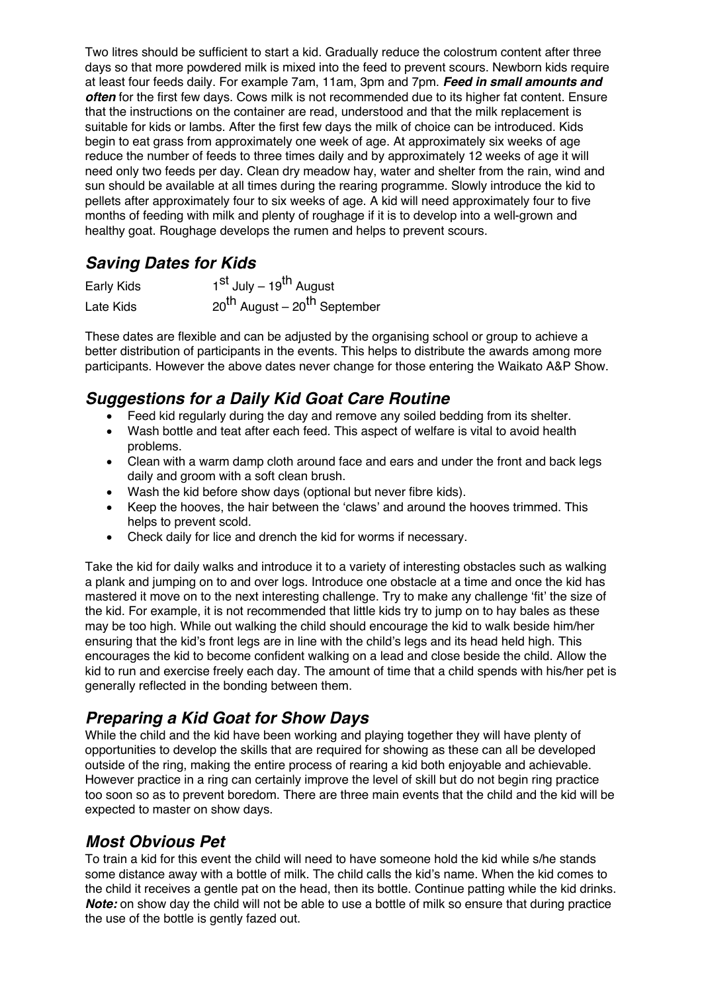Two litres should be sufficient to start a kid. Gradually reduce the colostrum content after three days so that more powdered milk is mixed into the feed to prevent scours. Newborn kids require at least four feeds daily. For example 7am, 11am, 3pm and 7pm. *Feed in small amounts and often* for the first few days. Cows milk is not recommended due to its higher fat content. Ensure that the instructions on the container are read, understood and that the milk replacement is suitable for kids or lambs. After the first few days the milk of choice can be introduced. Kids begin to eat grass from approximately one week of age. At approximately six weeks of age reduce the number of feeds to three times daily and by approximately 12 weeks of age it will need only two feeds per day. Clean dry meadow hay, water and shelter from the rain, wind and sun should be available at all times during the rearing programme. Slowly introduce the kid to pellets after approximately four to six weeks of age. A kid will need approximately four to five months of feeding with milk and plenty of roughage if it is to develop into a well-grown and healthy goat. Roughage develops the rumen and helps to prevent scours.

# *Saving Dates for Kids*

| Early Kids | 1 <sup>st</sup> July – 19 <sup>th</sup> August       |
|------------|------------------------------------------------------|
| Late Kids  | 20 <sup>th</sup> August – 20 <sup>th</sup> September |

These dates are flexible and can be adjusted by the organising school or group to achieve a better distribution of participants in the events. This helps to distribute the awards among more participants. However the above dates never change for those entering the Waikato A&P Show.

## *Suggestions for a Daily Kid Goat Care Routine*

- Feed kid regularly during the day and remove any soiled bedding from its shelter.
- Wash bottle and teat after each feed. This aspect of welfare is vital to avoid health problems.
- Clean with a warm damp cloth around face and ears and under the front and back legs daily and groom with a soft clean brush.
- Wash the kid before show days (optional but never fibre kids).
- Keep the hooves, the hair between the 'claws' and around the hooves trimmed. This helps to prevent scold.
- Check daily for lice and drench the kid for worms if necessary.

Take the kid for daily walks and introduce it to a variety of interesting obstacles such as walking a plank and jumping on to and over logs. Introduce one obstacle at a time and once the kid has mastered it move on to the next interesting challenge. Try to make any challenge 'fit' the size of the kid. For example, it is not recommended that little kids try to jump on to hay bales as these may be too high. While out walking the child should encourage the kid to walk beside him/her ensuring that the kid's front legs are in line with the child's legs and its head held high. This encourages the kid to become confident walking on a lead and close beside the child. Allow the kid to run and exercise freely each day. The amount of time that a child spends with his/her pet is generally reflected in the bonding between them.

# *Preparing a Kid Goat for Show Days*

While the child and the kid have been working and playing together they will have plenty of opportunities to develop the skills that are required for showing as these can all be developed outside of the ring, making the entire process of rearing a kid both enjoyable and achievable. However practice in a ring can certainly improve the level of skill but do not begin ring practice too soon so as to prevent boredom. There are three main events that the child and the kid will be expected to master on show days.

# *Most Obvious Pet*

To train a kid for this event the child will need to have someone hold the kid while s/he stands some distance away with a bottle of milk. The child calls the kid's name. When the kid comes to the child it receives a gentle pat on the head, then its bottle. Continue patting while the kid drinks. *Note:* on show day the child will not be able to use a bottle of milk so ensure that during practice the use of the bottle is gently fazed out.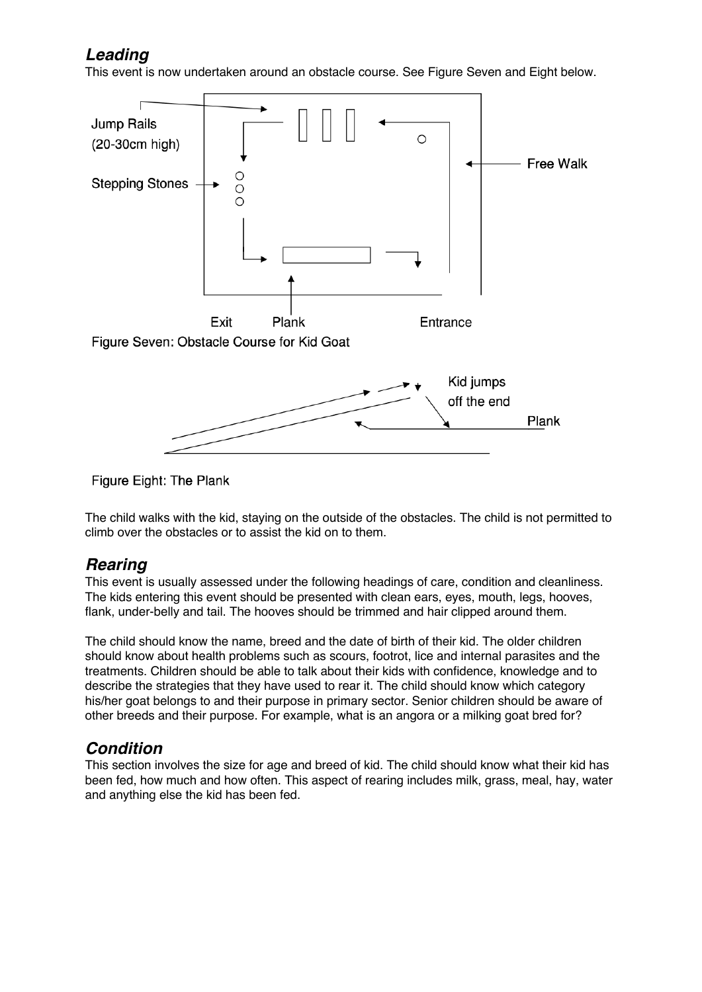## *Leading*

This event is now undertaken around an obstacle course. See Figure Seven and Eight below.





The child walks with the kid, staying on the outside of the obstacles. The child is not permitted to climb over the obstacles or to assist the kid on to them.

### *Rearing*

This event is usually assessed under the following headings of care, condition and cleanliness. The kids entering this event should be presented with clean ears, eyes, mouth, legs, hooves, flank, under-belly and tail. The hooves should be trimmed and hair clipped around them.

The child should know the name, breed and the date of birth of their kid. The older children should know about health problems such as scours, footrot, lice and internal parasites and the treatments. Children should be able to talk about their kids with confidence, knowledge and to describe the strategies that they have used to rear it. The child should know which category his/her goat belongs to and their purpose in primary sector. Senior children should be aware of other breeds and their purpose. For example, what is an angora or a milking goat bred for?

### *Condition*

This section involves the size for age and breed of kid. The child should know what their kid has been fed, how much and how often. This aspect of rearing includes milk, grass, meal, hay, water and anything else the kid has been fed.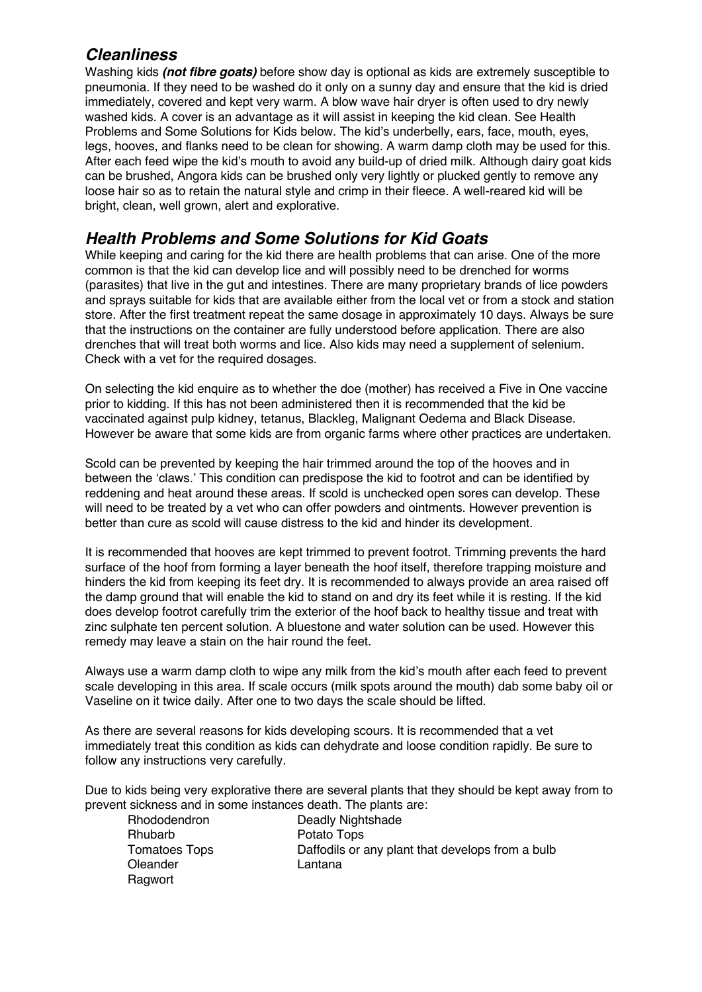## *Cleanliness*

Washing kids *(not fibre goats)* before show day is optional as kids are extremely susceptible to pneumonia. If they need to be washed do it only on a sunny day and ensure that the kid is dried immediately, covered and kept very warm. A blow wave hair dryer is often used to dry newly washed kids. A cover is an advantage as it will assist in keeping the kid clean. See Health Problems and Some Solutions for Kids below. The kid's underbelly, ears, face, mouth, eyes, legs, hooves, and flanks need to be clean for showing. A warm damp cloth may be used for this. After each feed wipe the kid's mouth to avoid any build-up of dried milk. Although dairy goat kids can be brushed, Angora kids can be brushed only very lightly or plucked gently to remove any loose hair so as to retain the natural style and crimp in their fleece. A well-reared kid will be bright, clean, well grown, alert and explorative.

## *Health Problems and Some Solutions for Kid Goats*

While keeping and caring for the kid there are health problems that can arise. One of the more common is that the kid can develop lice and will possibly need to be drenched for worms (parasites) that live in the gut and intestines. There are many proprietary brands of lice powders and sprays suitable for kids that are available either from the local vet or from a stock and station store. After the first treatment repeat the same dosage in approximately 10 days. Always be sure that the instructions on the container are fully understood before application. There are also drenches that will treat both worms and lice. Also kids may need a supplement of selenium. Check with a vet for the required dosages.

On selecting the kid enquire as to whether the doe (mother) has received a Five in One vaccine prior to kidding. If this has not been administered then it is recommended that the kid be vaccinated against pulp kidney, tetanus, Blackleg, Malignant Oedema and Black Disease. However be aware that some kids are from organic farms where other practices are undertaken.

Scold can be prevented by keeping the hair trimmed around the top of the hooves and in between the 'claws.' This condition can predispose the kid to footrot and can be identified by reddening and heat around these areas. If scold is unchecked open sores can develop. These will need to be treated by a vet who can offer powders and ointments. However prevention is better than cure as scold will cause distress to the kid and hinder its development.

It is recommended that hooves are kept trimmed to prevent footrot. Trimming prevents the hard surface of the hoof from forming a layer beneath the hoof itself, therefore trapping moisture and hinders the kid from keeping its feet dry. It is recommended to always provide an area raised off the damp ground that will enable the kid to stand on and dry its feet while it is resting. If the kid does develop footrot carefully trim the exterior of the hoof back to healthy tissue and treat with zinc sulphate ten percent solution. A bluestone and water solution can be used. However this remedy may leave a stain on the hair round the feet.

Always use a warm damp cloth to wipe any milk from the kid's mouth after each feed to prevent scale developing in this area. If scale occurs (milk spots around the mouth) dab some baby oil or Vaseline on it twice daily. After one to two days the scale should be lifted.

As there are several reasons for kids developing scours. It is recommended that a vet immediately treat this condition as kids can dehydrate and loose condition rapidly. Be sure to follow any instructions very carefully.

Due to kids being very explorative there are several plants that they should be kept away from to prevent sickness and in some instances death. The plants are:

| <b>Rhododendron</b>  |  |
|----------------------|--|
| <b>Rhubarb</b>       |  |
| <b>Tomatoes Tops</b> |  |
| Oleander             |  |
| Ragwort              |  |

Deadly Nightshade Potato Tops Daffodils or any plant that develops from a bulb Lantana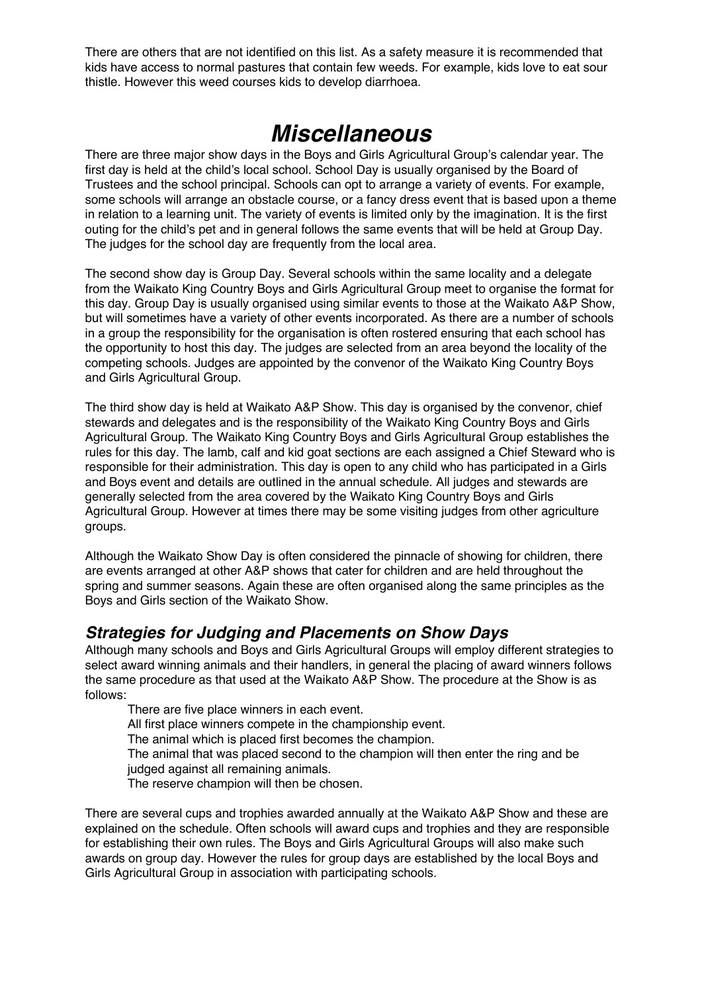There are others that are not identified on this list. As a safety measure it is recommended that kids have access to normal pastures that contain few weeds. For example, kids love to eat sour thistle. However this weed courses kids to develop diarrhoea.

# *Miscellaneous*

There are three major show days in the Boys and Girls Agricultural Group's calendar year. The first day is held at the child's local school. School Day is usually organised by the Board of Trustees and the school principal. Schools can opt to arrange a variety of events. For example, some schools will arrange an obstacle course, or a fancy dress event that is based upon a theme in relation to a learning unit. The variety of events is limited only by the imagination. It is the first outing for the child's pet and in general follows the same events that will be held at Group Day. The judges for the school day are frequently from the local area.

The second show day is Group Day. Several schools within the same locality and a delegate from the Waikato King Country Boys and Girls Agricultural Group meet to organise the format for this day. Group Day is usually organised using similar events to those at the Waikato A&P Show, but will sometimes have a variety of other events incorporated. As there are a number of schools in a group the responsibility for the organisation is often rostered ensuring that each school has the opportunity to host this day. The judges are selected from an area beyond the locality of the competing schools. Judges are appointed by the convenor of the Waikato King Country Boys and Girls Agricultural Group.

The third show day is held at Waikato A&P Show. This day is organised by the convenor, chief stewards and delegates and is the responsibility of the Waikato King Country Boys and Girls Agricultural Group. The Waikato King Country Boys and Girls Agricultural Group establishes the rules for this day. The lamb, calf and kid goat sections are each assigned a Chief Steward who is responsible for their administration. This day is open to any child who has participated in a Girls and Boys event and details are outlined in the annual schedule. All judges and stewards are generally selected from the area covered by the Waikato King Country Boys and Girls Agricultural Group. However at times there may be some visiting judges from other agriculture groups.

Although the Waikato Show Day is often considered the pinnacle of showing for children, there are events arranged at other A&P shows that cater for children and are held throughout the spring and summer seasons. Again these are often organised along the same principles as the Boys and Girls section of the Waikato Show.

### *Strategies for Judging and Placements on Show Days*

Although many schools and Boys and Girls Agricultural Groups will employ different strategies to select award winning animals and their handlers, in general the placing of award winners follows the same procedure as that used at the Waikato A&P Show. The procedure at the Show is as follows:

There are five place winners in each event.

All first place winners compete in the championship event.

The animal which is placed first becomes the champion.

The animal that was placed second to the champion will then enter the ring and be judged against all remaining animals.

The reserve champion will then be chosen.

There are several cups and trophies awarded annually at the Waikato A&P Show and these are explained on the schedule. Often schools will award cups and trophies and they are responsible for establishing their own rules. The Boys and Girls Agricultural Groups will also make such awards on group day. However the rules for group days are established by the local Boys and Girls Agricultural Group in association with participating schools.